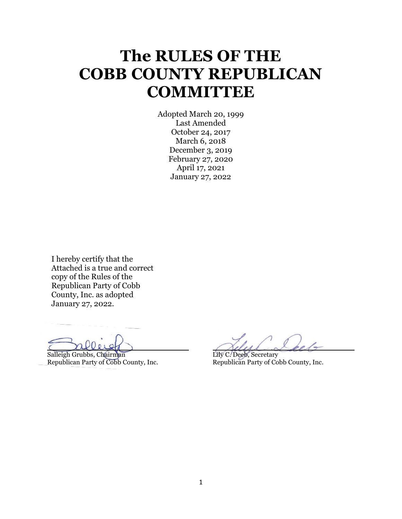# **The RULES OF THE COBB COUNTY REPUBLICAN COMMITTEE**

Adopted March 20, 1999 Last Amended October 24, 2017 March 6, 2018 December 3, 2019 February 27, 2020 April 17, 2021 January 27, 2022

I hereby certify that the Attached is a true and correct copy of the Rules of the Republican Party of Cobb County, Inc. as adopted January 27, 2022.

j

Salleigh Grubbs, Chairman Lily C. Deeb, Secretary<br>Republican Party of Cobb County, Inc. Republican Party of Co

Republican Party of Cobb County, Inc. Republican Party of Cobb County, Inc.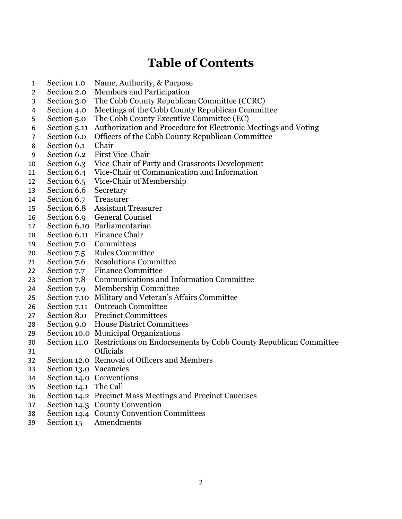# **Table of Contents**

- Section 1.0 Name, Authority, & Purpose
- Section 2.0 Members and Participation
- Section 3.0 The Cobb County Republican Committee (CCRC)
- Section 4.0 Meetings of the Cobb County Republican Committee
- Section 5.0 The Cobb County Executive Committee (EC)
- Section 5.11 Authorization and Procedure for Electronic Meetings and Voting
- Section 6.0 Officers of the Cobb County Republican Committee
- Section 6.1 Chair
- Section 6.2 First Vice-Chair
- Section 6.3 Vice-Chair of Party and Grassroots Development
- Section 6.4 Vice-Chair of Communication and Information
- Section 6.5 Vice-Chair of Membership
- Section 6.6 Secretary
- Section 6.7 Treasurer
- Section 6.8 Assistant Treasurer
- Section 6.9 General Counsel
- Section 6.10 Parliamentarian
- Section 6.11 Finance Chair
- Section 7.0 Committees
- Section 7.5 Rules Committee
- Section 7.6 Resolutions Committee
- Section 7.7 Finance Committee
- Section 7.8 Communications and Information Committee
- Section 7.9 Membership Committee
- Section 7.10 Military and Veteran's Affairs Committee
- Section 7.11 Outreach Committee
- Section 8.0 Precinct Committees
- Section 9.0 House District Committees
- Section 10.0 Municipal Organizations
- Section 11.0 Restrictions on Endorsements by Cobb County Republican Committee Officials
- Section 12.0 Removal of Officers and Members
- Section 13.0 Vacancies
- Section 14.0 Conventions
- Section 14.1 The Call
- Section 14.2 Precinct Mass Meetings and Precinct Caucuses
- Section 14.3 County Convention
- Section 14.4 County Convention Committees
- Section 15 Amendments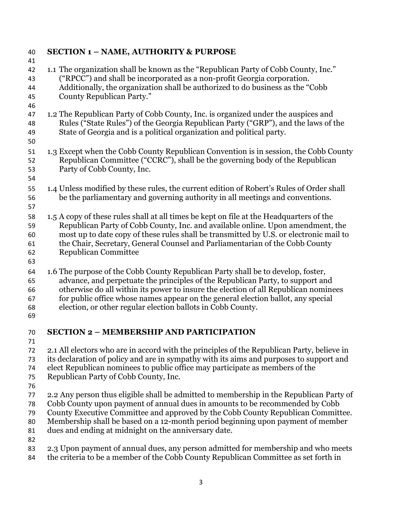| 40       | <b>SECTION 1 - NAME, AUTHORITY &amp; PURPOSE</b>                                                                                                           |
|----------|------------------------------------------------------------------------------------------------------------------------------------------------------------|
| 41       |                                                                                                                                                            |
| 42       | 1.1 The organization shall be known as the "Republican Party of Cobb County, Inc."                                                                         |
| 43       | ("RPCC") and shall be incorporated as a non-profit Georgia corporation.<br>Additionally, the organization shall be authorized to do business as the "Cobb" |
| 44<br>45 | County Republican Party."                                                                                                                                  |
| 46       |                                                                                                                                                            |
| 47       | 1.2 The Republican Party of Cobb County, Inc. is organized under the auspices and                                                                          |
| 48       | Rules ("State Rules") of the Georgia Republican Party ("GRP"), and the laws of the                                                                         |
| 49       | State of Georgia and is a political organization and political party.                                                                                      |
| 50       |                                                                                                                                                            |
| 51       | 1.3 Except when the Cobb County Republican Convention is in session, the Cobb County                                                                       |
| 52       | Republican Committee ("CCRC"), shall be the governing body of the Republican                                                                               |
| 53       | Party of Cobb County, Inc.                                                                                                                                 |
| 54       |                                                                                                                                                            |
| 55       | 1.4 Unless modified by these rules, the current edition of Robert's Rules of Order shall                                                                   |
| 56       | be the parliamentary and governing authority in all meetings and conventions.                                                                              |
| 57       |                                                                                                                                                            |
| 58       | 1.5 A copy of these rules shall at all times be kept on file at the Headquarters of the                                                                    |
| 59       | Republican Party of Cobb County, Inc. and available online. Upon amendment, the                                                                            |
| 60       | most up to date copy of these rules shall be transmitted by U.S. or electronic mail to                                                                     |
| 61       | the Chair, Secretary, General Counsel and Parliamentarian of the Cobb County                                                                               |
| 62       | Republican Committee                                                                                                                                       |
| 63       |                                                                                                                                                            |
| 64       | 1.6 The purpose of the Cobb County Republican Party shall be to develop, foster,                                                                           |
| 65       | advance, and perpetuate the principles of the Republican Party, to support and                                                                             |
| 66       | otherwise do all within its power to insure the election of all Republican nominees                                                                        |
| 67       | for public office whose names appear on the general election ballot, any special                                                                           |
| 68       | election, or other regular election ballots in Cobb County.                                                                                                |
| 69       |                                                                                                                                                            |
| 70       | <b>SECTION 2 - MEMBERSHIP AND PARTICIPATION</b>                                                                                                            |
| 71       |                                                                                                                                                            |
| 72       | 2.1 All electors who are in accord with the principles of the Republican Party, believe in                                                                 |
| 73       | its declaration of policy and are in sympathy with its aims and purposes to support and                                                                    |
| 74       | elect Republican nominees to public office may participate as members of the                                                                               |
| 75       | Republican Party of Cobb County, Inc.                                                                                                                      |
| 76       |                                                                                                                                                            |
| 77       | 2.2 Any person thus eligible shall be admitted to membership in the Republican Party of                                                                    |
| 78       | Cobb County upon payment of annual dues in amounts to be recommended by Cobb                                                                               |
| 79       | County Executive Committee and approved by the Cobb County Republican Committee.                                                                           |
| 80       | Membership shall be based on a 12-month period beginning upon payment of member                                                                            |
| 81<br>82 | dues and ending at midnight on the anniversary date.                                                                                                       |
| 83       | 2.3 Upon payment of annual dues, any person admitted for membership and who meets                                                                          |
| 84       | the criteria to be a member of the Cobb County Republican Committee as set forth in                                                                        |
|          |                                                                                                                                                            |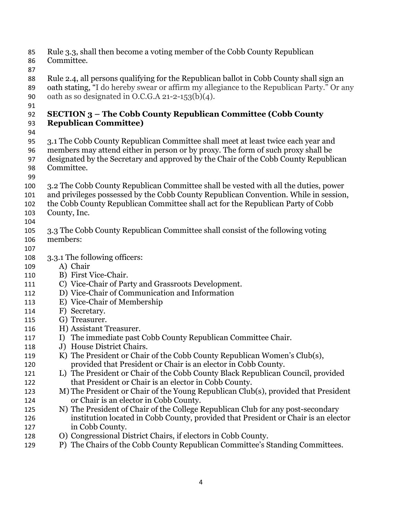- Rule 3.3, shall then become a voting member of the Cobb County Republican
- Committee.
- 

Rule 2.4, all persons qualifying for the Republican ballot in Cobb County shall sign an

oath stating, "I do hereby swear or affirm my allegiance to the Republican Party." Or any 90 oath as so designated in O.C.G.A  $21-2-153(b)(4)$ .

### 

### **SECTION 3 – The Cobb County Republican Committee (Cobb County Republican Committee)**

- 
- 3.1 The Cobb County Republican Committee shall meet at least twice each year and members may attend either in person or by proxy. The form of such proxy shall be
- designated by the Secretary and approved by the Chair of the Cobb County Republican
- Committee.
- 
- 3.2 The Cobb County Republican Committee shall be vested with all the duties, power
- and privileges possessed by the Cobb County Republican Convention. While in session,
- the Cobb County Republican Committee shall act for the Republican Party of Cobb County, Inc.
- 
- 3.3 The Cobb County Republican Committee shall consist of the following voting members:
- 
- 3.3.1 The following officers:
- A) Chair
- B) First Vice-Chair.
- C) Vice-Chair of Party and Grassroots Development.
- D) Vice-Chair of Communication and Information
- E) Vice-Chair of Membership
- F) Secretary.
- G) Treasurer.
- H) Assistant Treasurer.
- 117 I) The immediate past Cobb County Republican Committee Chair.
- J) House District Chairs.
- K) The President or Chair of the Cobb County Republican Women's Club(s),
- provided that President or Chair is an elector in Cobb County.
- L) The President or Chair of the Cobb County Black Republican Council, provided that President or Chair is an elector in Cobb County.
- M) The President or Chair of the Young Republican Club(s), provided that President or Chair is an elector in Cobb County.
- N) The President of Chair of the College Republican Club for any post-secondary institution located in Cobb County, provided that President or Chair is an elector in Cobb County.
- O) Congressional District Chairs, if electors in Cobb County.
- P) The Chairs of the Cobb County Republican Committee's Standing Committees.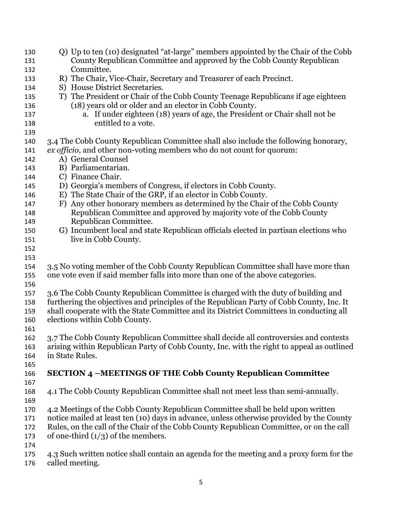Q) Up to ten (10) designated "at-large" members appointed by the Chair of the Cobb County Republican Committee and approved by the Cobb County Republican Committee. R) The Chair, Vice-Chair, Secretary and Treasurer of each Precinct. S) House District Secretaries. T) The President or Chair of the Cobb County Teenage Republicans if age eighteen (18) years old or older and an elector in Cobb County. a. If under eighteen (18) years of age, the President or Chair shall not be entitled to a vote. 3.4 The Cobb County Republican Committee shall also include the following honorary, *ex officio*, and other non-voting members who do not count for quorum: A) General Counsel B) Parliamentarian. C) Finance Chair. D) Georgia's members of Congress, if electors in Cobb County. E) The State Chair of the GRP, if an elector in Cobb County. F) Any other honorary members as determined by the Chair of the Cobb County Republican Committee and approved by majority vote of the Cobb County Republican Committee. G) Incumbent local and state Republican officials elected in partisan elections who 151 live in Cobb County. 3.5 No voting member of the Cobb County Republican Committee shall have more than one vote even if said member falls into more than one of the above categories. 3.6 The Cobb County Republican Committee is charged with the duty of building and furthering the objectives and principles of the Republican Party of Cobb County, Inc. It shall cooperate with the State Committee and its District Committees in conducting all elections within Cobb County. 3.7 The Cobb County Republican Committee shall decide all controversies and contests arising within Republican Party of Cobb County, Inc. with the right to appeal as outlined in State Rules. **SECTION 4 –MEETINGS OF THE Cobb County Republican Committee** 4.1 The Cobb County Republican Committee shall not meet less than semi-annually. 4.2 Meetings of the Cobb County Republican Committee shall be held upon written notice mailed at least ten (10) days in advance, unless otherwise provided by the County Rules, on the call of the Chair of the Cobb County Republican Committee, or on the call 173 of one-third  $(1/3)$  of the members. 4.3 Such written notice shall contain an agenda for the meeting and a proxy form for the called meeting.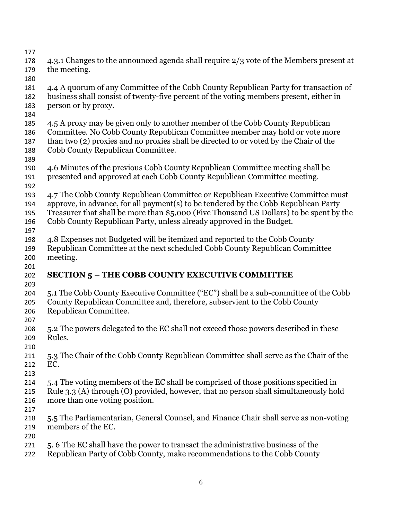4.3.1 Changes to the announced agenda shall require 2/3 vote of the Members present at the meeting. 4.4 A quorum of any Committee of the Cobb County Republican Party for transaction of business shall consist of twenty-five percent of the voting members present, either in person or by proxy. 4.5 A proxy may be given only to another member of the Cobb County Republican Committee. No Cobb County Republican Committee member may hold or vote more than two (2) proxies and no proxies shall be directed to or voted by the Chair of the Cobb County Republican Committee. 4.6 Minutes of the previous Cobb County Republican Committee meeting shall be presented and approved at each Cobb County Republican Committee meeting. 4.7 The Cobb County Republican Committee or Republican Executive Committee must approve, in advance, for all payment(s) to be tendered by the Cobb Republican Party Treasurer that shall be more than \$5,000 (Five Thousand US Dollars) to be spent by the Cobb County Republican Party, unless already approved in the Budget. 4.8 Expenses not Budgeted will be itemized and reported to the Cobb County Republican Committee at the next scheduled Cobb County Republican Committee meeting. **SECTION 5 – THE COBB COUNTY EXECUTIVE COMMITTEE**  5.1 The Cobb County Executive Committee ("EC") shall be a sub-committee of the Cobb County Republican Committee and, therefore, subservient to the Cobb County Republican Committee. 5.2 The powers delegated to the EC shall not exceed those powers described in these Rules. 5.3 The Chair of the Cobb County Republican Committee shall serve as the Chair of the EC. 5.4 The voting members of the EC shall be comprised of those positions specified in Rule 3.3 (A) through (O) provided, however, that no person shall simultaneously hold more than one voting position. 5.5 The Parliamentarian, General Counsel, and Finance Chair shall serve as non-voting members of the EC. 5. 6 The EC shall have the power to transact the administrative business of the Republican Party of Cobb County, make recommendations to the Cobb County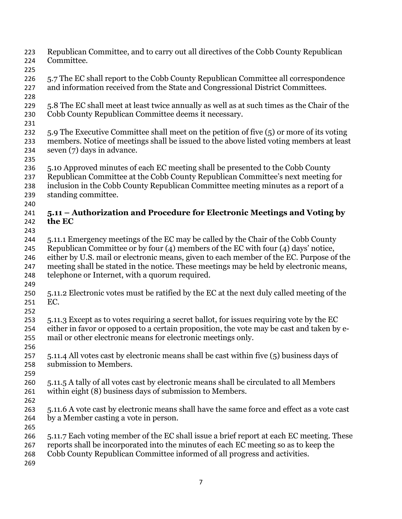- Republican Committee, and to carry out all directives of the Cobb County Republican Committee.
- 
- 226 5.7 The EC shall report to the Cobb County Republican Committee all correspondence and information received from the State and Congressional District Committees.
- 
- 5.8 The EC shall meet at least twice annually as well as at such times as the Chair of the Cobb County Republican Committee deems it necessary.
- 
- 5.9 The Executive Committee shall meet on the petition of five (5) or more of its voting members. Notice of meetings shall be issued to the above listed voting members at least seven (7) days in advance.
- 
- 5.10 Approved minutes of each EC meeting shall be presented to the Cobb County
- Republican Committee at the Cobb County Republican Committee's next meeting for
- inclusion in the Cobb County Republican Committee meeting minutes as a report of a standing committee.
- 

### **5.11 – Authorization and Procedure for Electronic Meetings and Voting by the EC**

- 
- 5.11.1 Emergency meetings of the EC may be called by the Chair of the Cobb County
- Republican Committee or by four (4) members of the EC with four (4) days' notice,
- either by U.S. mail or electronic means, given to each member of the EC. Purpose of the
- meeting shall be stated in the notice. These meetings may be held by electronic means, telephone or Internet, with a quorum required.
- 
- 5.11.2 Electronic votes must be ratified by the EC at the next duly called meeting of the EC.
- 
- 5.11.3 Except as to votes requiring a secret ballot, for issues requiring vote by the EC either in favor or opposed to a certain proposition, the vote may be cast and taken by e-
- mail or other electronic means for electronic meetings only.
- 
- 5.11.4 All votes cast by electronic means shall be cast within five (5) business days of submission to Members.
- 
- 5.11.5 A tally of all votes cast by electronic means shall be circulated to all Members within eight (8) business days of submission to Members.
- 
- 5.11.6 A vote cast by electronic means shall have the same force and effect as a vote cast by a Member casting a vote in person.
- 
- 5.11.7 Each voting member of the EC shall issue a brief report at each EC meeting. These reports shall be incorporated into the minutes of each EC meeting so as to keep the Cobb County Republican Committee informed of all progress and activities.
-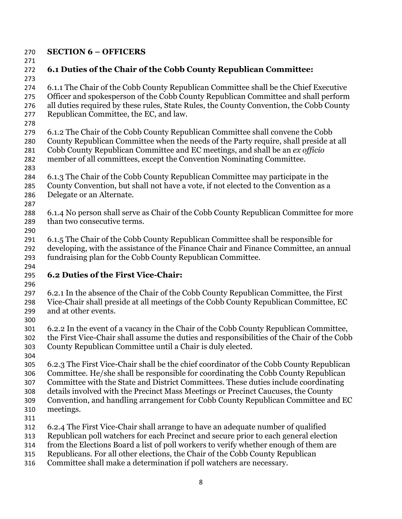### **SECTION 6 – OFFICERS**

# **6.1 Duties of the Chair of the Cobb County Republican Committee:**

 6.1.1 The Chair of the Cobb County Republican Committee shall be the Chief Executive Officer and spokesperson of the Cobb County Republican Committee and shall perform all duties required by these rules, State Rules, the County Convention, the Cobb County Republican Committee, the EC, and law.

- 
- 6.1.2 The Chair of the Cobb County Republican Committee shall convene the Cobb County Republican Committee when the needs of the Party require, shall preside at all
- Cobb County Republican Committee and EC meetings, and shall be an *ex officio*
- member of all committees, except the Convention Nominating Committee.
- 
- 6.1.3 The Chair of the Cobb County Republican Committee may participate in the County Convention, but shall not have a vote, if not elected to the Convention as a
- Delegate or an Alternate.
- 6.1.4 No person shall serve as Chair of the Cobb County Republican Committee for more than two consecutive terms.
- 

6.1.5 The Chair of the Cobb County Republican Committee shall be responsible for developing, with the assistance of the Finance Chair and Finance Committee, an annual fundraising plan for the Cobb County Republican Committee.

# **6.2 Duties of the First Vice-Chair:**

6.2.1 In the absence of the Chair of the Cobb County Republican Committee, the First Vice-Chair shall preside at all meetings of the Cobb County Republican Committee, EC and at other events.

- 
- 6.2.2 In the event of a vacancy in the Chair of the Cobb County Republican Committee, the First Vice-Chair shall assume the duties and responsibilities of the Chair of the Cobb County Republican Committee until a Chair is duly elected.
- 

6.2.3 The First Vice-Chair shall be the chief coordinator of the Cobb County Republican Committee. He/she shall be responsible for coordinating the Cobb County Republican

Committee with the State and District Committees. These duties include coordinating

- details involved with the Precinct Mass Meetings or Precinct Caucuses, the County
- Convention, and handling arrangement for Cobb County Republican Committee and EC
- meetings.
- 
- 6.2.4 The First Vice-Chair shall arrange to have an adequate number of qualified
- Republican poll watchers for each Precinct and secure prior to each general election
- from the Elections Board a list of poll workers to verify whether enough of them are
- Republicans. For all other elections, the Chair of the Cobb County Republican
- Committee shall make a determination if poll watchers are necessary.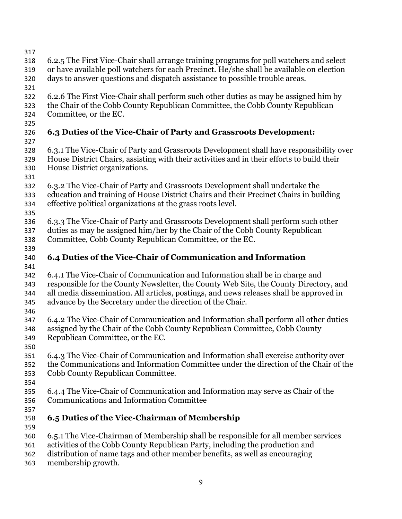- 
- 6.2.5 The First Vice-Chair shall arrange training programs for poll watchers and select
- or have available poll watchers for each Precinct. He/she shall be available on election
- days to answer questions and dispatch assistance to possible trouble areas.
- 
- 6.2.6 The First Vice-Chair shall perform such other duties as may be assigned him by
- the Chair of the Cobb County Republican Committee, the Cobb County Republican
- Committee, or the EC.
- 

# **6.3 Duties of the Vice-Chair of Party and Grassroots Development:**

- 
- 6.3.1 The Vice-Chair of Party and Grassroots Development shall have responsibility over House District Chairs, assisting with their activities and in their efforts to build their House District organizations.
- 
- 6.3.2 The Vice-Chair of Party and Grassroots Development shall undertake the education and training of House District Chairs and their Precinct Chairs in building effective political organizations at the grass roots level.
- 
- 6.3.3 The Vice-Chair of Party and Grassroots Development shall perform such other duties as may be assigned him/her by the Chair of the Cobb County Republican
- Committee, Cobb County Republican Committee, or the EC.
- **6.4 Duties of the Vice-Chair of Communication and Information**
- 6.4.1 The Vice-Chair of Communication and Information shall be in charge and responsible for the County Newsletter, the County Web Site, the County Directory, and all media dissemination. All articles, postings, and news releases shall be approved in advance by the Secretary under the direction of the Chair.
- 
- 6.4.2 The Vice-Chair of Communication and Information shall perform all other duties assigned by the Chair of the Cobb County Republican Committee, Cobb County Republican Committee, or the EC.
- 
- 6.4.3 The Vice-Chair of Communication and Information shall exercise authority over
- the Communications and Information Committee under the direction of the Chair of the Cobb County Republican Committee.
- 
- 6.4.4 The Vice-Chair of Communication and Information may serve as Chair of the Communications and Information Committee
- 
- **6.5 Duties of the Vice-Chairman of Membership**
- 
- 6.5.1 The Vice-Chairman of Membership shall be responsible for all member services
- activities of the Cobb County Republican Party, including the production and
- distribution of name tags and other member benefits, as well as encouraging
- membership growth.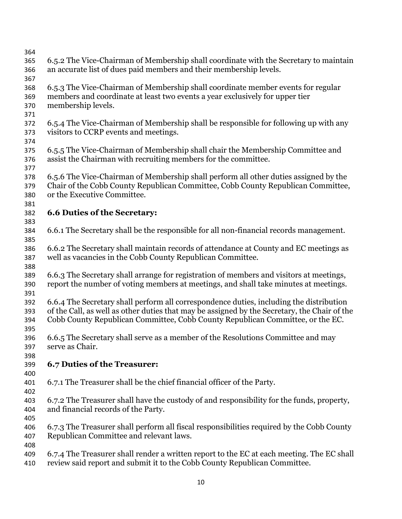6.5.2 The Vice-Chairman of Membership shall coordinate with the Secretary to maintain an accurate list of dues paid members and their membership levels. 6.5.3 The Vice-Chairman of Membership shall coordinate member events for regular members and coordinate at least two events a year exclusively for upper tier membership levels. 6.5.4 The Vice-Chairman of Membership shall be responsible for following up with any visitors to CCRP events and meetings. 6.5.5 The Vice-Chairman of Membership shall chair the Membership Committee and assist the Chairman with recruiting members for the committee. 6.5.6 The Vice-Chairman of Membership shall perform all other duties assigned by the Chair of the Cobb County Republican Committee, Cobb County Republican Committee, or the Executive Committee. **6.6 Duties of the Secretary:**  6.6.1 The Secretary shall be the responsible for all non-financial records management. 6.6.2 The Secretary shall maintain records of attendance at County and EC meetings as well as vacancies in the Cobb County Republican Committee. 6.6.3 The Secretary shall arrange for registration of members and visitors at meetings, report the number of voting members at meetings, and shall take minutes at meetings. 6.6.4 The Secretary shall perform all correspondence duties, including the distribution of the Call, as well as other duties that may be assigned by the Secretary, the Chair of the Cobb County Republican Committee, Cobb County Republican Committee, or the EC. 6.6.5 The Secretary shall serve as a member of the Resolutions Committee and may serve as Chair. **6.7 Duties of the Treasurer:**  6.7.1 The Treasurer shall be the chief financial officer of the Party. 6.7.2 The Treasurer shall have the custody of and responsibility for the funds, property, and financial records of the Party. 6.7.3 The Treasurer shall perform all fiscal responsibilities required by the Cobb County Republican Committee and relevant laws. 6.7.4 The Treasurer shall render a written report to the EC at each meeting. The EC shall review said report and submit it to the Cobb County Republican Committee.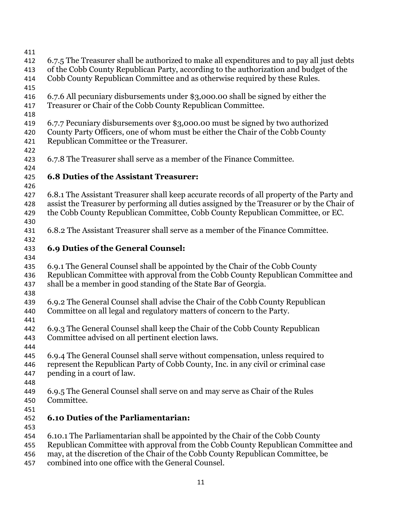| 411        |                                                                                                                                                                                                                                                                                                                                 |
|------------|---------------------------------------------------------------------------------------------------------------------------------------------------------------------------------------------------------------------------------------------------------------------------------------------------------------------------------|
| 412        | 6.7.5 The Treasurer shall be authorized to make all expenditures and to pay all just debts                                                                                                                                                                                                                                      |
| 413        | of the Cobb County Republican Party, according to the authorization and budget of the                                                                                                                                                                                                                                           |
| 414        | Cobb County Republican Committee and as otherwise required by these Rules.                                                                                                                                                                                                                                                      |
| 415        |                                                                                                                                                                                                                                                                                                                                 |
| 416        | 6.7.6 All pecuniary disbursements under \$3,000.00 shall be signed by either the                                                                                                                                                                                                                                                |
| 417        | Treasurer or Chair of the Cobb County Republican Committee.                                                                                                                                                                                                                                                                     |
| 418        |                                                                                                                                                                                                                                                                                                                                 |
| 419        | 6.7.7 Pecuniary disbursements over \$3,000.00 must be signed by two authorized                                                                                                                                                                                                                                                  |
| 420        | County Party Officers, one of whom must be either the Chair of the Cobb County                                                                                                                                                                                                                                                  |
| 421        | Republican Committee or the Treasurer.                                                                                                                                                                                                                                                                                          |
| 422        |                                                                                                                                                                                                                                                                                                                                 |
| 423        | 6.7.8 The Treasurer shall serve as a member of the Finance Committee.                                                                                                                                                                                                                                                           |
| 424        |                                                                                                                                                                                                                                                                                                                                 |
| 425        | <b>6.8 Duties of the Assistant Treasurer:</b>                                                                                                                                                                                                                                                                                   |
| 426        |                                                                                                                                                                                                                                                                                                                                 |
| 427        | 6.8.1 The Assistant Treasurer shall keep accurate records of all property of the Party and                                                                                                                                                                                                                                      |
| 428        | assist the Treasurer by performing all duties assigned by the Treasurer or by the Chair of                                                                                                                                                                                                                                      |
| 429        | the Cobb County Republican Committee, Cobb County Republican Committee, or EC.                                                                                                                                                                                                                                                  |
| 430        |                                                                                                                                                                                                                                                                                                                                 |
| 431        | 6.8.2 The Assistant Treasurer shall serve as a member of the Finance Committee.                                                                                                                                                                                                                                                 |
| 432        |                                                                                                                                                                                                                                                                                                                                 |
| 433        | 6.9 Duties of the General Counsel:                                                                                                                                                                                                                                                                                              |
| 434<br>435 | 6.9.1 The General Counsel shall be appointed by the Chair of the Cobb County                                                                                                                                                                                                                                                    |
| 436        | Republican Committee with approval from the Cobb County Republican Committee and                                                                                                                                                                                                                                                |
| 437        | shall be a member in good standing of the State Bar of Georgia.                                                                                                                                                                                                                                                                 |
| 438        |                                                                                                                                                                                                                                                                                                                                 |
| 439        | 6.9.2 The General Counsel shall advise the Chair of the Cobb County Republican                                                                                                                                                                                                                                                  |
| 440        | Committee on all legal and regulatory matters of concern to the Party.                                                                                                                                                                                                                                                          |
| 441        |                                                                                                                                                                                                                                                                                                                                 |
| 442        | 6.9.3 The General Counsel shall keep the Chair of the Cobb County Republican                                                                                                                                                                                                                                                    |
| 443        | Committee advised on all pertinent election laws.                                                                                                                                                                                                                                                                               |
| 444        |                                                                                                                                                                                                                                                                                                                                 |
| 445        | 6.9.4 The General Counsel shall serve without compensation, unless required to                                                                                                                                                                                                                                                  |
| 446        | represent the Republican Party of Cobb County, Inc. in any civil or criminal case                                                                                                                                                                                                                                               |
| 447        | pending in a court of law.                                                                                                                                                                                                                                                                                                      |
| 448        |                                                                                                                                                                                                                                                                                                                                 |
| 449        | 6.9.5 The General Counsel shall serve on and may serve as Chair of the Rules                                                                                                                                                                                                                                                    |
| 450        | Committee.                                                                                                                                                                                                                                                                                                                      |
| 451        |                                                                                                                                                                                                                                                                                                                                 |
| 452        | <b>6.10 Duties of the Parliamentarian:</b>                                                                                                                                                                                                                                                                                      |
| 453        |                                                                                                                                                                                                                                                                                                                                 |
| 454        | 6.10.1 The Parliamentarian shall be appointed by the Chair of the Cobb County                                                                                                                                                                                                                                                   |
| 455        | Republican Committee with approval from the Cobb County Republican Committee and                                                                                                                                                                                                                                                |
| 456        | may, at the discretion of the Chair of the Cobb County Republican Committee, be                                                                                                                                                                                                                                                 |
|            | $\mathcal{C}^*$ $\mathcal{C}^*$ $\mathcal{C}^*$ $\mathcal{C}^*$ $\mathcal{C}^*$ $\mathcal{C}^*$ $\mathcal{C}^*$ $\mathcal{C}^*$ $\mathcal{C}^*$ $\mathcal{C}^*$ $\mathcal{C}^*$ $\mathcal{C}^*$ $\mathcal{C}^*$ $\mathcal{C}^*$ $\mathcal{C}^*$ $\mathcal{C}^*$ $\mathcal{C}^*$ $\mathcal{C}^*$ $\mathcal{C}^*$ $\mathcal{C}^*$ |

combined into one office with the General Counsel.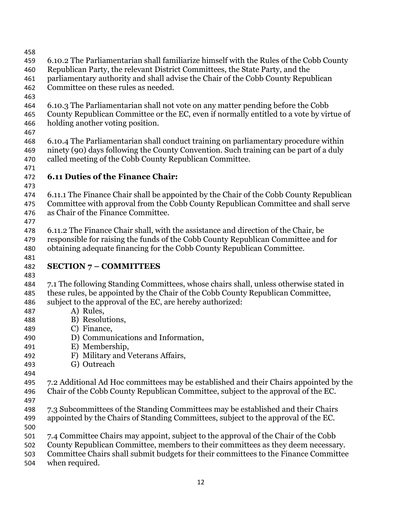- 
- 6.10.2 The Parliamentarian shall familiarize himself with the Rules of the Cobb County
- Republican Party, the relevant District Committees, the State Party, and the
- parliamentary authority and shall advise the Chair of the Cobb County Republican
- Committee on these rules as needed.
- 
- 6.10.3 The Parliamentarian shall not vote on any matter pending before the Cobb
- County Republican Committee or the EC, even if normally entitled to a vote by virtue of holding another voting position.
- 
- 6.10.4 The Parliamentarian shall conduct training on parliamentary procedure within ninety (90) days following the County Convention. Such training can be part of a duly called meeting of the Cobb County Republican Committee.
- 

## **6.11 Duties of the Finance Chair:**

- 
- 6.11.1 The Finance Chair shall be appointed by the Chair of the Cobb County Republican Committee with approval from the Cobb County Republican Committee and shall serve as Chair of the Finance Committee.
- 
- 6.11.2 The Finance Chair shall, with the assistance and direction of the Chair, be responsible for raising the funds of the Cobb County Republican Committee and for obtaining adequate financing for the Cobb County Republican Committee.
- **SECTION 7 COMMITTEES**
- 

- 7.1 The following Standing Committees, whose chairs shall, unless otherwise stated in
- these rules, be appointed by the Chair of the Cobb County Republican Committee,
- subject to the approval of the EC, are hereby authorized:
- A) Rules,
- B) Resolutions,
- C) Finance,
- D) Communications and Information,
- E) Membership,
- F) Military and Veterans Affairs,
- G) Outreach
- 
- 7.2 Additional Ad Hoc committees may be established and their Chairs appointed by the Chair of the Cobb County Republican Committee, subject to the approval of the EC.
- 
- 7.3 Subcommittees of the Standing Committees may be established and their Chairs appointed by the Chairs of Standing Committees, subject to the approval of the EC.
- 
- 7.4 Committee Chairs may appoint, subject to the approval of the Chair of the Cobb
- County Republican Committee, members to their committees as they deem necessary.
- Committee Chairs shall submit budgets for their committees to the Finance Committee
- when required.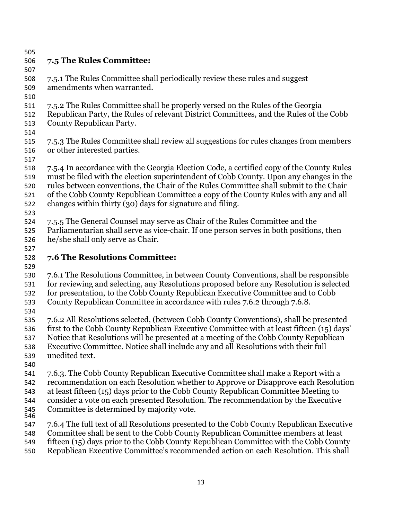# **7.5 The Rules Committee:**

# 7.5.1 The Rules Committee shall periodically review these rules and suggest

- amendments when warranted.
- 
- 7.5.2 The Rules Committee shall be properly versed on the Rules of the Georgia
- Republican Party, the Rules of relevant District Committees, and the Rules of the Cobb County Republican Party.
- 
- 7.5.3 The Rules Committee shall review all suggestions for rules changes from members or other interested parties.
- 
- 7.5.4 In accordance with the Georgia Election Code, a certified copy of the County Rules must be filed with the election superintendent of Cobb County. Upon any changes in the rules between conventions, the Chair of the Rules Committee shall submit to the Chair of the Cobb County Republican Committee a copy of the County Rules with any and all
- changes within thirty (30) days for signature and filing.
- 
- 7.5.5 The General Counsel may serve as Chair of the Rules Committee and the
- Parliamentarian shall serve as vice-chair. If one person serves in both positions, then he/she shall only serve as Chair.
- **7.6 The Resolutions Committee:**
- 

- 7.6.1 The Resolutions Committee, in between County Conventions, shall be responsible for reviewing and selecting, any Resolutions proposed before any Resolution is selected for presentation, to the Cobb County Republican Executive Committee and to Cobb
- County Republican Committee in accordance with rules 7.6.2 through 7.6.8.
- 

7.6.2 All Resolutions selected, (between Cobb County Conventions), shall be presented first to the Cobb County Republican Executive Committee with at least fifteen (15) days'

- Notice that Resolutions will be presented at a meeting of the Cobb County Republican
- Executive Committee. Notice shall include any and all Resolutions with their full
- unedited text.
- 

7.6.3. The Cobb County Republican Executive Committee shall make a Report with a recommendation on each Resolution whether to Approve or Disapprove each Resolution

at least fifteen (15) days prior to the Cobb County Republican Committee Meeting to

- consider a vote on each presented Resolution. The recommendation by the Executive
- Committee is determined by majority vote.
- 7.6.4 The full text of all Resolutions presented to the Cobb County Republican Executive
- Committee shall be sent to the Cobb County Republican Committee members at least
- fifteen (15) days prior to the Cobb County Republican Committee with the Cobb County
- Republican Executive Committee's recommended action on each Resolution. This shall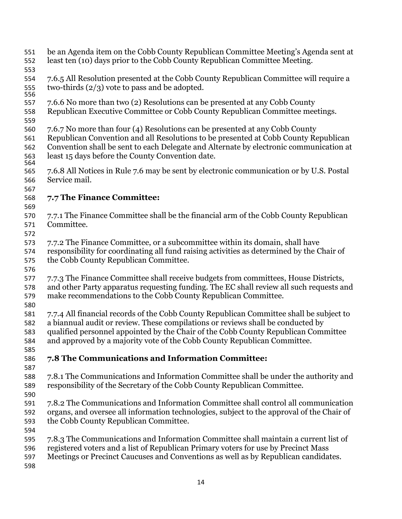- be an Agenda item on the Cobb County Republican Committee Meeting's Agenda sent at least ten (10) days prior to the Cobb County Republican Committee Meeting.
- 
- 7.6.5 All Resolution presented at the Cobb County Republican Committee will require a 555 two-thirds  $(2/3)$  vote to pass and be adopted.
- 7.6.6 No more than two (2) Resolutions can be presented at any Cobb County
- Republican Executive Committee or Cobb County Republican Committee meetings.
- 
- 7.6.7 No more than four (4) Resolutions can be presented at any Cobb County
- Republican Convention and all Resolutions to be presented at Cobb County Republican Convention shall be sent to each Delegate and Alternate by electronic communication at least 15 days before the County Convention date.
- 7.6.8 All Notices in Rule 7.6 may be sent by electronic communication or by U.S. Postal Service mail.
- 

### **7.7 The Finance Committee:**

- 
- 7.7.1 The Finance Committee shall be the financial arm of the Cobb County Republican Committee.
- 
- 7.7.2 The Finance Committee, or a subcommittee within its domain, shall have
- responsibility for coordinating all fund raising activities as determined by the Chair of the Cobb County Republican Committee.
- 
- 7.7.3 The Finance Committee shall receive budgets from committees, House Districts,
- and other Party apparatus requesting funding. The EC shall review all such requests and
- make recommendations to the Cobb County Republican Committee.
- 
- 7.7.4 All financial records of the Cobb County Republican Committee shall be subject to a biannual audit or review. These compilations or reviews shall be conducted by
- qualified personnel appointed by the Chair of the Cobb County Republican Committee
- and approved by a majority vote of the Cobb County Republican Committee.
- 

## **7.8 The Communications and Information Committee:**

- 
- 7.8.1 The Communications and Information Committee shall be under the authority and responsibility of the Secretary of the Cobb County Republican Committee.
- 
- 7.8.2 The Communications and Information Committee shall control all communication organs, and oversee all information technologies, subject to the approval of the Chair of the Cobb County Republican Committee.
- 7.8.3 The Communications and Information Committee shall maintain a current list of
	- registered voters and a list of Republican Primary voters for use by Precinct Mass
	- Meetings or Precinct Caucuses and Conventions as well as by Republican candidates.
	-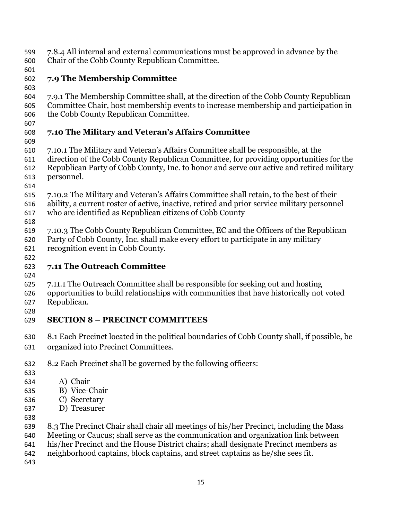- 7.8.4 All internal and external communications must be approved in advance by the
- Chair of the Cobb County Republican Committee.
- 

# **7.9 The Membership Committee**

- 7.9.1 The Membership Committee shall, at the direction of the Cobb County Republican Committee Chair, host membership events to increase membership and participation in
- the Cobb County Republican Committee.
- 

# **7.10 The Military and Veteran's Affairs Committee**

- 
- 7.10.1 The Military and Veteran's Affairs Committee shall be responsible, at the
- direction of the Cobb County Republican Committee, for providing opportunities for the Republican Party of Cobb County, Inc. to honor and serve our active and retired military personnel.
- 
- 7.10.2 The Military and Veteran's Affairs Committee shall retain, to the best of their
- ability, a current roster of active, inactive, retired and prior service military personnel who are identified as Republican citizens of Cobb County
- 
- 7.10.3 The Cobb County Republican Committee, EC and the Officers of the Republican Party of Cobb County, Inc. shall make every effort to participate in any military
- recognition event in Cobb County.

# **7.11 The Outreach Committee**

- 
- 7.11.1 The Outreach Committee shall be responsible for seeking out and hosting
- opportunities to build relationships with communities that have historically not voted Republican.
- **SECTION 8 – PRECINCT COMMITTEES**
- 8.1 Each Precinct located in the political boundaries of Cobb County shall, if possible, be organized into Precinct Committees.
- 8.2 Each Precinct shall be governed by the following officers:
- 
- A) Chair
- B) Vice-Chair
- C) Secretary
- D) Treasurer
- 
- 8.3 The Precinct Chair shall chair all meetings of his/her Precinct, including the Mass
- Meeting or Caucus; shall serve as the communication and organization link between
- his/her Precinct and the House District chairs; shall designate Precinct members as
- neighborhood captains, block captains, and street captains as he/she sees fit.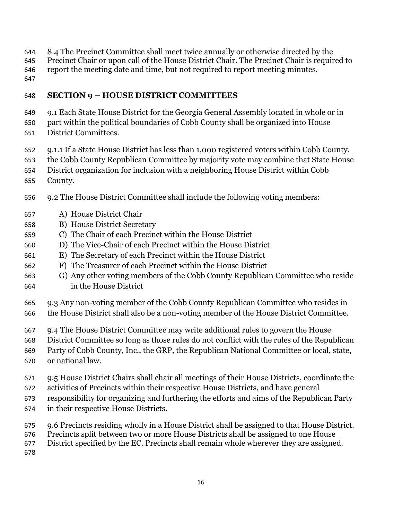- 8.4 The Precinct Committee shall meet twice annually or otherwise directed by the
- Precinct Chair or upon call of the House District Chair. The Precinct Chair is required to
- report the meeting date and time, but not required to report meeting minutes.
- 

### **SECTION 9 – HOUSE DISTRICT COMMITTEES**

- 9.1 Each State House District for the Georgia General Assembly located in whole or in
- part within the political boundaries of Cobb County shall be organized into House District Committees.
- 9.1.1 If a State House District has less than 1,000 registered voters within Cobb County,
- the Cobb County Republican Committee by majority vote may combine that State House
- District organization for inclusion with a neighboring House District within Cobb
- County.
- 9.2 The House District Committee shall include the following voting members:
- A) House District Chair
- B) House District Secretary
- C) The Chair of each Precinct within the House District
- D) The Vice-Chair of each Precinct within the House District
- E) The Secretary of each Precinct within the House District
- F) The Treasurer of each Precinct within the House District
- G) Any other voting members of the Cobb County Republican Committee who reside in the House District
- 9.3 Any non-voting member of the Cobb County Republican Committee who resides in
- the House District shall also be a non-voting member of the House District Committee.
- 9.4 The House District Committee may write additional rules to govern the House
- District Committee so long as those rules do not conflict with the rules of the Republican
- Party of Cobb County, Inc., the GRP, the Republican National Committee or local, state,
- or national law.
- 9.5 House District Chairs shall chair all meetings of their House Districts, coordinate the
- activities of Precincts within their respective House Districts, and have general
- responsibility for organizing and furthering the efforts and aims of the Republican Party
- in their respective House Districts.
- 9.6 Precincts residing wholly in a House District shall be assigned to that House District.
- Precincts split between two or more House Districts shall be assigned to one House
- District specified by the EC. Precincts shall remain whole wherever they are assigned.
-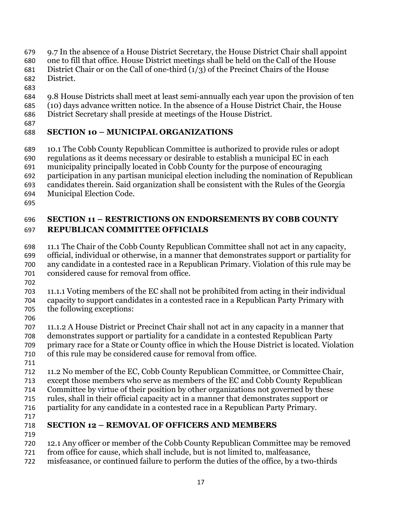- 9.7 In the absence of a House District Secretary, the House District Chair shall appoint
- one to fill that office. House District meetings shall be held on the Call of the House
- 681 District Chair or on the Call of one-third  $(1/3)$  of the Precinct Chairs of the House District.
- 
- 9.8 House Districts shall meet at least semi-annually each year upon the provision of ten
- (10) days advance written notice. In the absence of a House District Chair, the House
- District Secretary shall preside at meetings of the House District.
- 

### **SECTION 10 – MUNICIPAL ORGANIZATIONS**

- 10.1 The Cobb County Republican Committee is authorized to provide rules or adopt
- regulations as it deems necessary or desirable to establish a municipal EC in each
- municipality principally located in Cobb County for the purpose of encouraging
- participation in any partisan municipal election including the nomination of Republican
- candidates therein. Said organization shall be consistent with the Rules of the Georgia
- Municipal Election Code.
- 

### **SECTION 11 – RESTRICTIONS ON ENDORSEMENTS BY COBB COUNTY REPUBLICAN COMMITTEE OFFICIALS**

- 11.1 The Chair of the Cobb County Republican Committee shall not act in any capacity,
- official, individual or otherwise, in a manner that demonstrates support or partiality for any candidate in a contested race in a Republican Primary. Violation of this rule may be
- considered cause for removal from office.
- 
- 11.1.1 Voting members of the EC shall not be prohibited from acting in their individual capacity to support candidates in a contested race in a Republican Party Primary with the following exceptions:
- 
- 11.1.2 A House District or Precinct Chair shall not act in any capacity in a manner that demonstrates support or partiality for a candidate in a contested Republican Party
- primary race for a State or County office in which the House District is located. Violation of this rule may be considered cause for removal from office.
- 
- 11.2 No member of the EC, Cobb County Republican Committee, or Committee Chair,
- except those members who serve as members of the EC and Cobb County Republican
- Committee by virtue of their position by other organizations not governed by these
- rules, shall in their official capacity act in a manner that demonstrates support or
- partiality for any candidate in a contested race in a Republican Party Primary.
- 

# **SECTION 12 – REMOVAL OF OFFICERS AND MEMBERS**

- 
- 12.1 Any officer or member of the Cobb County Republican Committee may be removed
- from office for cause, which shall include, but is not limited to, malfeasance,
- misfeasance, or continued failure to perform the duties of the office, by a two-thirds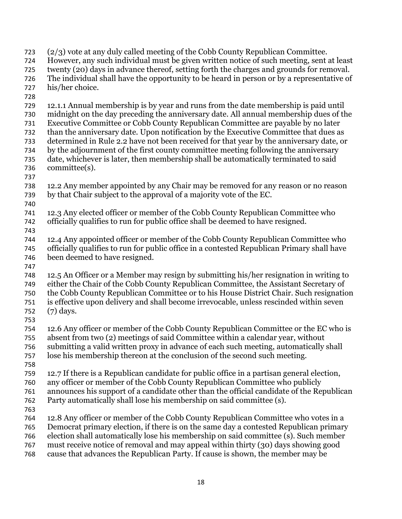(2/3) vote at any duly called meeting of the Cobb County Republican Committee. However, any such individual must be given written notice of such meeting, sent at least twenty (20) days in advance thereof, setting forth the charges and grounds for removal. The individual shall have the opportunity to be heard in person or by a representative of his/her choice. 12.1.1 Annual membership is by year and runs from the date membership is paid until midnight on the day preceding the anniversary date. All annual membership dues of the Executive Committee or Cobb County Republican Committee are payable by no later than the anniversary date. Upon notification by the Executive Committee that dues as determined in Rule 2.2 have not been received for that year by the anniversary date, or by the adjournment of the first county committee meeting following the anniversary date, whichever is later, then membership shall be automatically terminated to said committee(s). 12.2 Any member appointed by any Chair may be removed for any reason or no reason by that Chair subject to the approval of a majority vote of the EC. 12.3 Any elected officer or member of the Cobb County Republican Committee who officially qualifies to run for public office shall be deemed to have resigned. 12.4 Any appointed officer or member of the Cobb County Republican Committee who officially qualifies to run for public office in a contested Republican Primary shall have been deemed to have resigned. 12.5 An Officer or a Member may resign by submitting his/her resignation in writing to either the Chair of the Cobb County Republican Committee, the Assistant Secretary of the Cobb County Republican Committee or to his House District Chair. Such resignation is effective upon delivery and shall become irrevocable, unless rescinded within seven (7) days. 12.6 Any officer or member of the Cobb County Republican Committee or the EC who is absent from two (2) meetings of said Committee within a calendar year, without submitting a valid written proxy in advance of each such meeting, automatically shall lose his membership thereon at the conclusion of the second such meeting. 12.7 If there is a Republican candidate for public office in a partisan general election, any officer or member of the Cobb County Republican Committee who publicly announces his support of a candidate other than the official candidate of the Republican Party automatically shall lose his membership on said committee (s). 12.8 Any officer or member of the Cobb County Republican Committee who votes in a Democrat primary election, if there is on the same day a contested Republican primary election shall automatically lose his membership on said committee (s). Such member must receive notice of removal and may appeal within thirty (30) days showing good cause that advances the Republican Party. If cause is shown, the member may be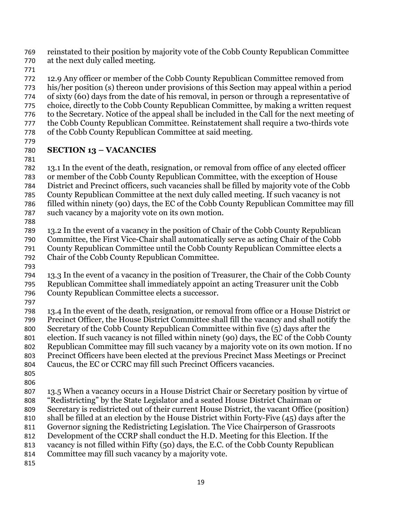reinstated to their position by majority vote of the Cobb County Republican Committee at the next duly called meeting.

12.9 Any officer or member of the Cobb County Republican Committee removed from his/her position (s) thereon under provisions of this Section may appeal within a period of sixty (60) days from the date of his removal, in person or through a representative of choice, directly to the Cobb County Republican Committee, by making a written request to the Secretary. Notice of the appeal shall be included in the Call for the next meeting of the Cobb County Republican Committee. Reinstatement shall require a two-thirds vote of the Cobb County Republican Committee at said meeting.

### **SECTION 13 – VACANCIES**

13.1 In the event of the death, resignation, or removal from office of any elected officer or member of the Cobb County Republican Committee, with the exception of House District and Precinct officers, such vacancies shall be filled by majority vote of the Cobb County Republican Committee at the next duly called meeting. If such vacancy is not

filled within ninety (90) days, the EC of the Cobb County Republican Committee may fill such vacancy by a majority vote on its own motion.

- 
- 

13.2 In the event of a vacancy in the position of Chair of the Cobb County Republican

Committee, the First Vice-Chair shall automatically serve as acting Chair of the Cobb

County Republican Committee until the Cobb County Republican Committee elects a Chair of the Cobb County Republican Committee.

13.3 In the event of a vacancy in the position of Treasurer, the Chair of the Cobb County Republican Committee shall immediately appoint an acting Treasurer unit the Cobb County Republican Committee elects a successor.

13.4 In the event of the death, resignation, or removal from office or a House District or Precinct Officer, the House District Committee shall fill the vacancy and shall notify the Secretary of the Cobb County Republican Committee within five (5) days after the

election. If such vacancy is not filled within ninety (90) days, the EC of the Cobb County

Republican Committee may fill such vacancy by a majority vote on its own motion. If no

Precinct Officers have been elected at the previous Precinct Mass Meetings or Precinct

- Caucus, the EC or CCRC may fill such Precinct Officers vacancies.
- 

13.5 When a vacancy occurs in a House District Chair or Secretary position by virtue of "Redistricting" by the State Legislator and a seated House District Chairman or Secretary is redistricted out of their current House District, the vacant Office (position)

shall be filled at an election by the House District within Forty-Five (45) days after the

Governor signing the Redistricting Legislation. The Vice Chairperson of Grassroots

Development of the CCRP shall conduct the H.D. Meeting for this Election. If the

vacancy is not filled within Fifty (50) days, the E.C. of the Cobb County Republican

Committee may fill such vacancy by a majority vote.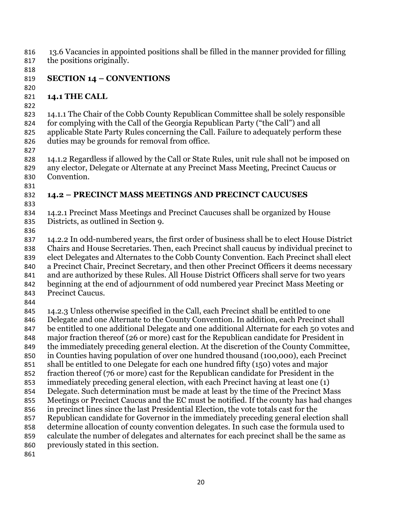13.6 Vacancies in appointed positions shall be filled in the manner provided for filling the positions originally.

### **SECTION 14 – CONVENTIONS**

### **14.1 THE CALL**

14.1.1 The Chair of the Cobb County Republican Committee shall be solely responsible for complying with the Call of the Georgia Republican Party ("the Call") and all applicable State Party Rules concerning the Call. Failure to adequately perform these duties may be grounds for removal from office.

14.1.2 Regardless if allowed by the Call or State Rules, unit rule shall not be imposed on any elector, Delegate or Alternate at any Precinct Mass Meeting, Precinct Caucus or Convention.

### **14.2 – PRECINCT MASS MEETINGS AND PRECINCT CAUCUSES**

14.2.1 Precinct Mass Meetings and Precinct Caucuses shall be organized by House Districts, as outlined in Section 9.

14.2.2 In odd-numbered years, the first order of business shall be to elect House District Chairs and House Secretaries. Then, each Precinct shall caucus by individual precinct to elect Delegates and Alternates to the Cobb County Convention. Each Precinct shall elect a Precinct Chair, Precinct Secretary, and then other Precinct Officers it deems necessary and are authorized by these Rules. All House District Officers shall serve for two years beginning at the end of adjournment of odd numbered year Precinct Mass Meeting or Precinct Caucus. 14.2.3 Unless otherwise specified in the Call, each Precinct shall be entitled to one Delegate and one Alternate to the County Convention. In addition, each Precinct shall be entitled to one additional Delegate and one additional Alternate for each 50 votes and major fraction thereof (26 or more) cast for the Republican candidate for President in the immediately preceding general election. At the discretion of the County Committee, in Counties having population of over one hundred thousand (100,000), each Precinct shall be entitled to one Delegate for each one hundred fifty (150) votes and major fraction thereof (76 or more) cast for the Republican candidate for President in the immediately preceding general election, with each Precinct having at least one (1) Delegate. Such determination must be made at least by the time of the Precinct Mass Meetings or Precinct Caucus and the EC must be notified. If the county has had changes in precinct lines since the last Presidential Election, the vote totals cast for the Republican candidate for Governor in the immediately preceding general election shall determine allocation of county convention delegates. In such case the formula used to calculate the number of delegates and alternates for each precinct shall be the same as previously stated in this section.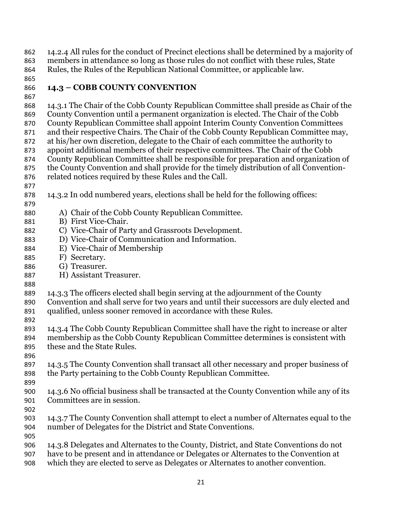14.2.4 All rules for the conduct of Precinct elections shall be determined by a majority of members in attendance so long as those rules do not conflict with these rules, State Rules, the Rules of the Republican National Committee, or applicable law.

### **14.3 – COBB COUNTY CONVENTION**

### 14.3.1 The Chair of the Cobb County Republican Committee shall preside as Chair of the County Convention until a permanent organization is elected. The Chair of the Cobb County Republican Committee shall appoint Interim County Convention Committees and their respective Chairs. The Chair of the Cobb County Republican Committee may, at his/her own discretion, delegate to the Chair of each committee the authority to appoint additional members of their respective committees. The Chair of the Cobb County Republican Committee shall be responsible for preparation and organization of the County Convention and shall provide for the timely distribution of all Convention-related notices required by these Rules and the Call. 14.3.2 In odd numbered years, elections shall be held for the following offices: A) Chair of the Cobb County Republican Committee. B) First Vice-Chair. C) Vice-Chair of Party and Grassroots Development. D) Vice-Chair of Communication and Information. E) Vice-Chair of Membership F) Secretary. G) Treasurer. H) Assistant Treasurer. 14.3.3 The officers elected shall begin serving at the adjournment of the County Convention and shall serve for two years and until their successors are duly elected and qualified, unless sooner removed in accordance with these Rules. 14.3.4 The Cobb County Republican Committee shall have the right to increase or alter membership as the Cobb County Republican Committee determines is consistent with these and the State Rules. 14.3.5 The County Convention shall transact all other necessary and proper business of the Party pertaining to the Cobb County Republican Committee. 14.3.6 No official business shall be transacted at the County Convention while any of its Committees are in session. 14.3.7 The County Convention shall attempt to elect a number of Alternates equal to the number of Delegates for the District and State Conventions. 14.3.8 Delegates and Alternates to the County, District, and State Conventions do not have to be present and in attendance or Delegates or Alternates to the Convention at

which they are elected to serve as Delegates or Alternates to another convention.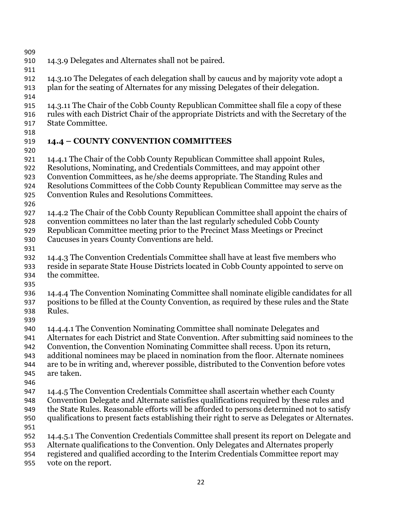- 
- 14.3.9 Delegates and Alternates shall not be paired.
- 
- 
- 14.3.10 The Delegates of each delegation shall by caucus and by majority vote adopt a plan for the seating of Alternates for any missing Delegates of their delegation.
- 
- 14.3.11 The Chair of the Cobb County Republican Committee shall file a copy of these
- rules with each District Chair of the appropriate Districts and with the Secretary of the State Committee.
- 

# **14.4 – COUNTY CONVENTION COMMITTEES**

- 14.4.1 The Chair of the Cobb County Republican Committee shall appoint Rules,
- Resolutions, Nominating, and Credentials Committees, and may appoint other
- Convention Committees, as he/she deems appropriate. The Standing Rules and
- Resolutions Committees of the Cobb County Republican Committee may serve as the
- Convention Rules and Resolutions Committees.
- 
- 14.4.2 The Chair of the Cobb County Republican Committee shall appoint the chairs of
- convention committees no later than the last regularly scheduled Cobb County
- Republican Committee meeting prior to the Precinct Mass Meetings or Precinct Caucuses in years County Conventions are held.
- 
- 14.4.3 The Convention Credentials Committee shall have at least five members who
- reside in separate State House Districts located in Cobb County appointed to serve on the committee.
- 
- 14.4.4 The Convention Nominating Committee shall nominate eligible candidates for all positions to be filled at the County Convention, as required by these rules and the State Rules.
- 
- 14.4.4.1 The Convention Nominating Committee shall nominate Delegates and
- Alternates for each District and State Convention. After submitting said nominees to the
- Convention, the Convention Nominating Committee shall recess. Upon its return,
- additional nominees may be placed in nomination from the floor. Alternate nominees
- are to be in writing and, wherever possible, distributed to the Convention before votes are taken.
- 
- 14.4.5 The Convention Credentials Committee shall ascertain whether each County Convention Delegate and Alternate satisfies qualifications required by these rules and
- the State Rules. Reasonable efforts will be afforded to persons determined not to satisfy qualifications to present facts establishing their right to serve as Delegates or Alternates.
- 
- 14.4.5.1 The Convention Credentials Committee shall present its report on Delegate and
	- Alternate qualifications to the Convention. Only Delegates and Alternates properly
	- registered and qualified according to the Interim Credentials Committee report may
	- vote on the report.